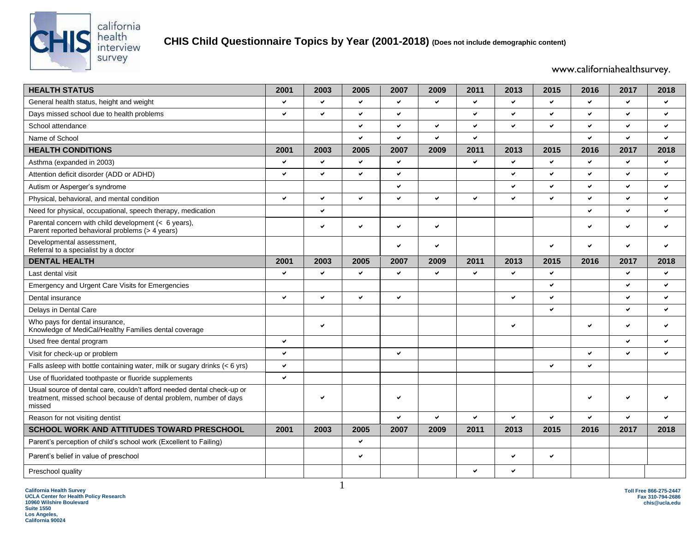

## **CHIS Child Questionnaire Topics by Year (2001-2018) (Does not include demographic content)**

www.californiahealthsurvey.

| <b>HEALTH STATUS</b>                                                                                                                                   | 2001         | 2003         | 2005         | 2007         | 2009         | 2011         | 2013         | 2015 | 2016         | 2017         | 2018                     |
|--------------------------------------------------------------------------------------------------------------------------------------------------------|--------------|--------------|--------------|--------------|--------------|--------------|--------------|------|--------------|--------------|--------------------------|
| General health status, height and weight                                                                                                               | $\checkmark$ | ✓            | ✔            | $\checkmark$ | ✔            | $\checkmark$ | $\checkmark$ | ✔    | ✔            | $\checkmark$ | $\checkmark$             |
| Days missed school due to health problems                                                                                                              | $\checkmark$ | V            | $\checkmark$ | $\checkmark$ |              | $\checkmark$ | ✓            | u    | $\checkmark$ | $\checkmark$ | $\checkmark$             |
| School attendance                                                                                                                                      |              |              | ✓            | ✔            | ✓            | $\checkmark$ | ✓            | ✔    | v            | $\checkmark$ | $\checkmark$             |
| Name of School                                                                                                                                         |              |              | ✓            | U            | ◡            | $\checkmark$ |              |      | $\checkmark$ | $\checkmark$ | $\overline{\phantom{0}}$ |
| <b>HEALTH CONDITIONS</b>                                                                                                                               | 2001         | 2003         | 2005         | 2007         | 2009         | 2011         | 2013         | 2015 | 2016         | 2017         | 2018                     |
| Asthma (expanded in 2003)                                                                                                                              | $\checkmark$ | $\checkmark$ | $\checkmark$ | v            |              | $\checkmark$ | $\checkmark$ | ✓    | $\checkmark$ | $\checkmark$ | $\checkmark$             |
| Attention deficit disorder (ADD or ADHD)                                                                                                               | $\checkmark$ | ✓            | ✓            | $\checkmark$ |              |              | ✓            | ✓    | $\checkmark$ | $\checkmark$ | $\checkmark$             |
| Autism or Asperger's syndrome                                                                                                                          |              |              |              | $\checkmark$ |              |              | $\checkmark$ | ✓    | v            | $\checkmark$ | $\checkmark$             |
| Physical, behavioral, and mental condition                                                                                                             | $\checkmark$ | ✓            | ◡            | $\checkmark$ | ◡            | $\checkmark$ | v            | U    | V            | $\checkmark$ | $\checkmark$             |
| Need for physical, occupational, speech therapy, medication                                                                                            |              | V            |              |              |              |              |              |      | $\checkmark$ | $\checkmark$ | $\checkmark$             |
| Parental concern with child development (< 6 years),<br>Parent reported behavioral problems (> 4 years)                                                |              | ✓            | ✔            | ✔            | ✔            |              |              |      | v            | $\checkmark$ | $\checkmark$             |
| Developmental assessment,<br>Referral to a specialist by a doctor                                                                                      |              |              |              | V            | ✓            |              |              | ✓    | $\checkmark$ | $\checkmark$ | $\checkmark$             |
| <b>DENTAL HEALTH</b>                                                                                                                                   | 2001         | 2003         | 2005         | 2007         | 2009         | 2011         | 2013         | 2015 | 2016         | 2017         | 2018                     |
| Last dental visit                                                                                                                                      | $\checkmark$ | ✓            | $\checkmark$ | ✓            | ✓            | $\checkmark$ | $\checkmark$ | ✓    |              | $\checkmark$ | $\checkmark$             |
| Emergency and Urgent Care Visits for Emergencies                                                                                                       |              |              |              |              |              |              |              | ✓    |              | $\checkmark$ | $\checkmark$             |
| Dental insurance                                                                                                                                       | $\checkmark$ | ✓            | $\checkmark$ | v            |              |              | ✓            | ◡    |              | $\checkmark$ | $\checkmark$             |
| Delays in Dental Care                                                                                                                                  |              |              |              |              |              |              |              | ✓    |              | $\checkmark$ | $\checkmark$             |
| Who pays for dental insurance,<br>Knowledge of MediCal/Healthy Families dental coverage                                                                |              | ✔            |              |              |              |              | $\checkmark$ |      | v            | $\checkmark$ | $\checkmark$             |
| Used free dental program                                                                                                                               | $\checkmark$ |              |              |              |              |              |              |      |              | $\checkmark$ | $\checkmark$             |
| Visit for check-up or problem                                                                                                                          | v            |              |              | ✓            |              |              |              |      | $\checkmark$ | $\checkmark$ | $\checkmark$             |
| Falls asleep with bottle containing water, milk or sugary drinks $(< 6$ yrs)                                                                           | $\checkmark$ |              |              |              |              |              |              |      | v            |              |                          |
| Use of fluoridated toothpaste or fluoride supplements                                                                                                  | $\checkmark$ |              |              |              |              |              |              |      |              |              |                          |
| Usual source of dental care, couldn't afford needed dental check-up or<br>treatment, missed school because of dental problem, number of days<br>missed |              | ✓            |              | ✓            |              |              |              |      | V            | $\checkmark$ |                          |
| Reason for not visiting dentist                                                                                                                        |              |              |              | ✓            | $\checkmark$ | $\checkmark$ | ✓            | ◡    | V            | $\checkmark$ | $\checkmark$             |
| <b>SCHOOL WORK AND ATTITUDES TOWARD PRESCHOOL</b>                                                                                                      | 2001         | 2003         | 2005         | 2007         | 2009         | 2011         | 2013         | 2015 | 2016         | 2017         | 2018                     |
| Parent's perception of child's school work (Excellent to Failing)                                                                                      |              |              | ✔            |              |              |              |              |      |              |              |                          |
| Parent's belief in value of preschool                                                                                                                  |              |              | $\checkmark$ |              |              |              | ✔            | ✔    |              |              |                          |
| Preschool quality                                                                                                                                      |              |              |              |              |              | $\checkmark$ | ✓            |      |              |              |                          |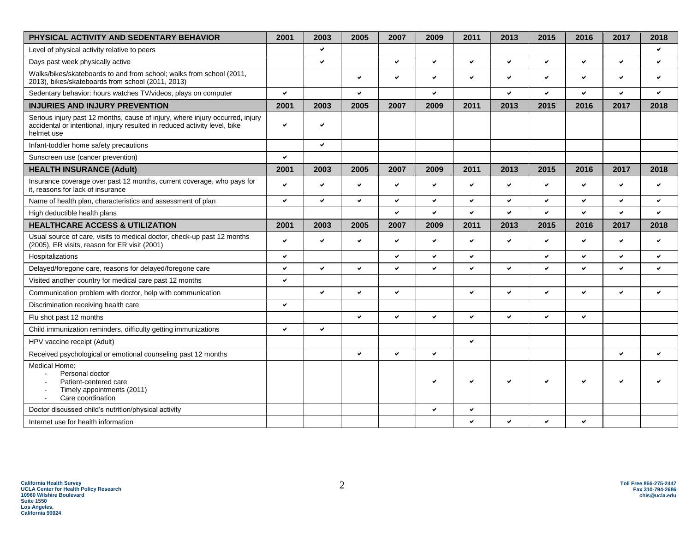| PHYSICAL ACTIVITY AND SEDENTARY BEHAVIOR                                                                                                                                  | 2001 | 2003         | 2005         | 2007         | 2009         | 2011         | 2013         | 2015                     | 2016 | 2017         | 2018         |
|---------------------------------------------------------------------------------------------------------------------------------------------------------------------------|------|--------------|--------------|--------------|--------------|--------------|--------------|--------------------------|------|--------------|--------------|
| Level of physical activity relative to peers                                                                                                                              |      | ✓            |              |              |              |              |              |                          |      |              | ✓            |
| Days past week physically active                                                                                                                                          |      | ✓            |              | $\checkmark$ | $\checkmark$ | $\checkmark$ | ✓            | V                        | ✓    | ✓            | ✔            |
| Walks/bikes/skateboards to and from school; walks from school (2011,<br>2013), bikes/skateboards from school (2011, 2013)                                                 |      |              | v            | $\checkmark$ | ✓            | $\checkmark$ | ✓            | ✓                        | ✓    | ✓            | ✔            |
| Sedentary behavior: hours watches TV/videos, plays on computer                                                                                                            | ✓    |              | V            |              | $\checkmark$ |              | ✓            | V                        | ✓    | ✓            | ✔            |
| <b>INJURIES AND INJURY PREVENTION</b>                                                                                                                                     | 2001 | 2003         | 2005         | 2007         | 2009         | 2011         | 2013         | 2015                     | 2016 | 2017         | 2018         |
| Serious injury past 12 months, cause of injury, where injury occurred, injury<br>accidental or intentional, injury resulted in reduced activity level, bike<br>helmet use | ✓    | ✓            |              |              |              |              |              |                          |      |              |              |
| Infant-toddler home safety precautions                                                                                                                                    |      | $\checkmark$ |              |              |              |              |              |                          |      |              |              |
| Sunscreen use (cancer prevention)                                                                                                                                         | V    |              |              |              |              |              |              |                          |      |              |              |
| <b>HEALTH INSURANCE (Adult)</b>                                                                                                                                           | 2001 | 2003         | 2005         | 2007         | 2009         | 2011         | 2013         | 2015                     | 2016 | 2017         | 2018         |
| Insurance coverage over past 12 months, current coverage, who pays for<br>it, reasons for lack of insurance                                                               | V    | ✓            | $\checkmark$ | $\checkmark$ | ✓            | $\checkmark$ | ✓            | $\checkmark$             | ✓    | ✓            | ✔            |
| Name of health plan, characteristics and assessment of plan                                                                                                               | V    | ✓            | $\checkmark$ | $\checkmark$ | $\checkmark$ | $\checkmark$ | ✓            | $\overline{\phantom{0}}$ | ✓    | $\checkmark$ | $\checkmark$ |
| High deductible health plans                                                                                                                                              |      |              |              | $\checkmark$ | ✓            | $\checkmark$ | ✓            | $\checkmark$             | ✔    | ✓            | $\checkmark$ |
| <b>HEALTHCARE ACCESS &amp; UTILIZATION</b>                                                                                                                                | 2001 | 2003         | 2005         | 2007         | 2009         | 2011         | 2013         | 2015                     | 2016 | 2017         | 2018         |
| Usual source of care, visits to medical doctor, check-up past 12 months<br>(2005), ER visits, reason for ER visit (2001)                                                  | ✓    | ◡            | $\checkmark$ | $\checkmark$ | ✓            | $\checkmark$ | $\checkmark$ | $\checkmark$             | ✓    | ✓            | ✓            |
| Hospitalizations                                                                                                                                                          | ✓    |              |              | ✔            | ✓            | $\checkmark$ |              | V                        | ✓    | ✓            | ✔            |
| Delayed/foregone care, reasons for delayed/foregone care                                                                                                                  | ✓    | ✓            | $\checkmark$ | $\checkmark$ | ✓            | $\checkmark$ | ✓            | $\checkmark$             | ✓    | ✓            | ✓            |
| Visited another country for medical care past 12 months                                                                                                                   | ✓    |              |              |              |              |              |              |                          |      |              |              |
| Communication problem with doctor, help with communication                                                                                                                |      | ✓            | v            | ✔            |              | $\checkmark$ | ✔            | $\checkmark$             | ✓    | ✔            | ✔            |
| Discrimination receiving health care                                                                                                                                      | ✓    |              |              |              |              |              |              |                          |      |              |              |
| Flu shot past 12 months                                                                                                                                                   |      |              | $\checkmark$ | $\checkmark$ | $\checkmark$ | $\checkmark$ | ✓            | $\checkmark$             | ✓    |              |              |
| Child immunization reminders, difficulty getting immunizations                                                                                                            | ✓    | ✓            |              |              |              |              |              |                          |      |              |              |
| HPV vaccine receipt (Adult)                                                                                                                                               |      |              |              |              |              | $\checkmark$ |              |                          |      |              |              |
| Received psychological or emotional counseling past 12 months                                                                                                             |      |              | ✔            | $\checkmark$ | ✓            |              |              |                          |      | ✓            | ✔            |
| Medical Home:<br>Personal doctor<br>$\blacksquare$<br>Patient-centered care<br>Timely appointments (2011)<br>$\overline{a}$<br>Care coordination                          |      |              |              |              |              |              | ◡            | $\checkmark$             | ◡    |              |              |
| Doctor discussed child's nutrition/physical activity                                                                                                                      |      |              |              |              | ✔            | $\checkmark$ |              |                          |      |              |              |
| Internet use for health information                                                                                                                                       |      |              |              |              |              | ✓            | ◡            | $\checkmark$             | ✓    |              |              |